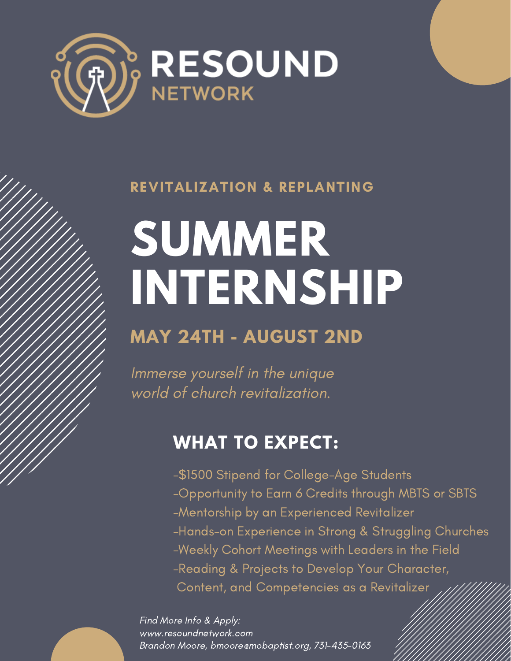

### REVITALIZATION & REPLANTING

# **SUMMER INTERNSHIP**

# **MAY 24TH - AUGUST 2ND**

Immerse yourself in the unique world of church revitalization.

## **WHAT TO EXPECT:**

- -\$1500 Stipend for College-Age Students
- -Opportunity to Earn 6 Credits through MBTS or SBTS
- -Mentorship by an Experienced Revitalizer
- -Hands-on Experience in Strong & Struggling Churches
- -Weekly Cohort Meetings with Leaders in the Field
- -Reading & Projects to Develop Your Character,
- Content, and Competencies as a Revitalizer

Find More Info & Apply: www.resoundnetwork.com Brandon Moore, bmoore@mobaptist.org, 731-435-0163